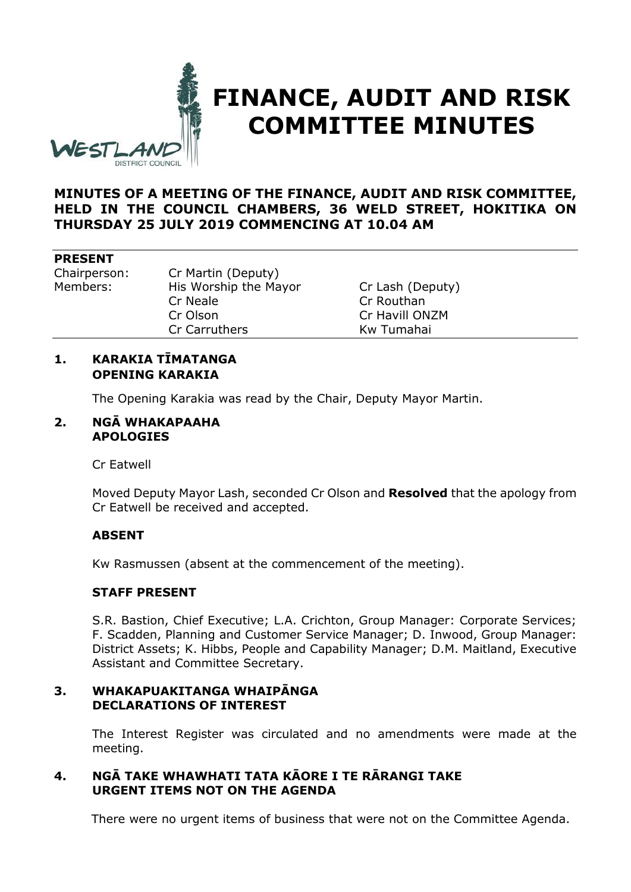

# **FINANCE, AUDIT AND RISK COMMITTEE MINUTES**

# **MINUTES OF A MEETING OF THE FINANCE, AUDIT AND RISK COMMITTEE, HELD IN THE COUNCIL CHAMBERS, 36 WELD STREET, HOKITIKA ON THURSDAY 25 JULY 2019 COMMENCING AT 10.04 AM**

#### **PRESENT**

Chairperson: Cr Martin (Deputy) Members: His Worship the Mayor Cr Lash (Deputy) Cr Neale Cr Routhan Cr Olson Cr Havill ONZM Cr Carruthers Kw Tumahai

# **1. KARAKIA TĪMATANGA OPENING KARAKIA**

The Opening Karakia was read by the Chair, Deputy Mayor Martin.

## **2. NGĀ WHAKAPAAHA APOLOGIES**

Cr Eatwell

Moved Deputy Mayor Lash, seconded Cr Olson and **Resolved** that the apology from Cr Eatwell be received and accepted.

# **ABSENT**

Kw Rasmussen (absent at the commencement of the meeting).

# **STAFF PRESENT**

S.R. Bastion, Chief Executive; L.A. Crichton, Group Manager: Corporate Services; F. Scadden, Planning and Customer Service Manager; D. Inwood, Group Manager: District Assets; K. Hibbs, People and Capability Manager; D.M. Maitland, Executive Assistant and Committee Secretary.

#### **3. WHAKAPUAKITANGA WHAIPĀNGA DECLARATIONS OF INTEREST**

The Interest Register was circulated and no amendments were made at the meeting.

# **4. NGĀ TAKE WHAWHATI TATA KĀORE I TE RĀRANGI TAKE URGENT ITEMS NOT ON THE AGENDA**

There were no urgent items of business that were not on the Committee Agenda.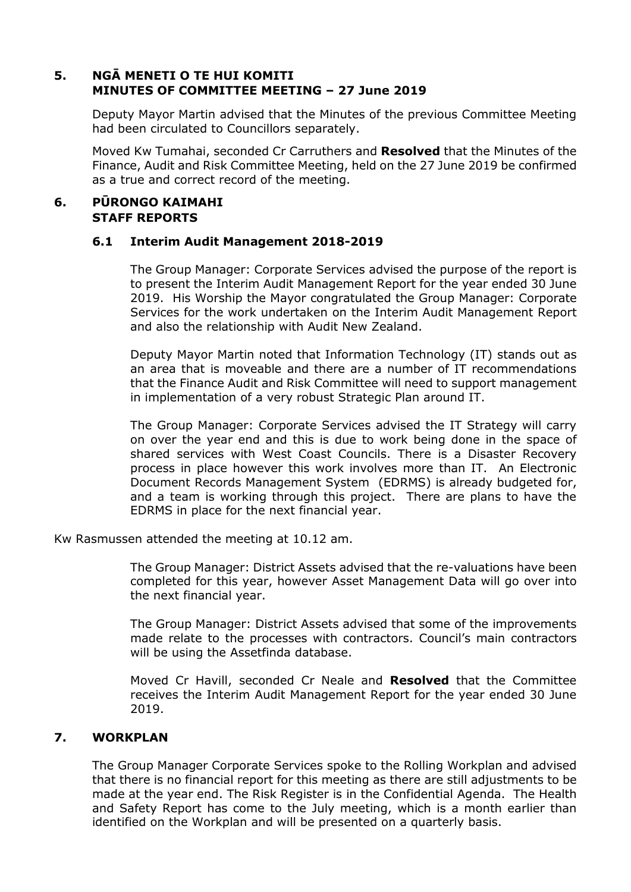# **5. NGĀ MENETI O TE HUI KOMITI MINUTES OF COMMITTEE MEETING – 27 June 2019**

Deputy Mayor Martin advised that the Minutes of the previous Committee Meeting had been circulated to Councillors separately.

Moved Kw Tumahai, seconded Cr Carruthers and **Resolved** that the Minutes of the Finance, Audit and Risk Committee Meeting, held on the 27 June 2019 be confirmed as a true and correct record of the meeting.

## **6. PŪRONGO KAIMAHI STAFF REPORTS**

#### **6.1 Interim Audit Management 2018-2019**

The Group Manager: Corporate Services advised the purpose of the report is to present the Interim Audit Management Report for the year ended 30 June 2019. His Worship the Mayor congratulated the Group Manager: Corporate Services for the work undertaken on the Interim Audit Management Report and also the relationship with Audit New Zealand.

Deputy Mayor Martin noted that Information Technology (IT) stands out as an area that is moveable and there are a number of IT recommendations that the Finance Audit and Risk Committee will need to support management in implementation of a very robust Strategic Plan around IT.

The Group Manager: Corporate Services advised the IT Strategy will carry on over the year end and this is due to work being done in the space of shared services with West Coast Councils. There is a Disaster Recovery process in place however this work involves more than IT. An Electronic Document Records Management System (EDRMS) is already budgeted for, and a team is working through this project. There are plans to have the EDRMS in place for the next financial year.

Kw Rasmussen attended the meeting at 10.12 am.

The Group Manager: District Assets advised that the re-valuations have been completed for this year, however Asset Management Data will go over into the next financial year.

The Group Manager: District Assets advised that some of the improvements made relate to the processes with contractors. Council's main contractors will be using the Assetfinda database.

Moved Cr Havill, seconded Cr Neale and **Resolved** that the Committee receives the Interim Audit Management Report for the year ended 30 June 2019.

# **7. WORKPLAN**

The Group Manager Corporate Services spoke to the Rolling Workplan and advised that there is no financial report for this meeting as there are still adjustments to be made at the year end. The Risk Register is in the Confidential Agenda. The Health and Safety Report has come to the July meeting, which is a month earlier than identified on the Workplan and will be presented on a quarterly basis.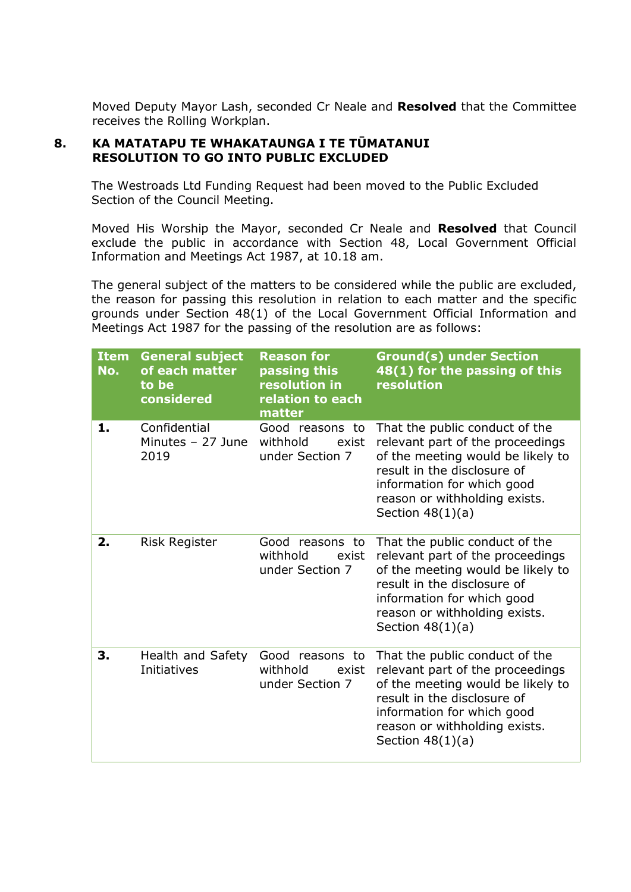Moved Deputy Mayor Lash, seconded Cr Neale and **Resolved** that the Committee receives the Rolling Workplan.

#### **8. KA MATATAPU TE WHAKATAUNGA I TE TŪMATANUI RESOLUTION TO GO INTO PUBLIC EXCLUDED**

The Westroads Ltd Funding Request had been moved to the Public Excluded Section of the Council Meeting.

Moved His Worship the Mayor, seconded Cr Neale and **Resolved** that Council exclude the public in accordance with Section 48, Local Government Official Information and Meetings Act 1987, at 10.18 am.

The general subject of the matters to be considered while the public are excluded, the reason for passing this resolution in relation to each matter and the specific grounds under Section 48(1) of the Local Government Official Information and Meetings Act 1987 for the passing of the resolution are as follows:

| <b>Item</b><br>No. | <b>General subject</b><br>of each matter<br>to be<br>considered | <b>Reason for</b><br>passing this<br>resolution in<br>relation to each<br>matter | <b>Ground(s) under Section</b><br>48(1) for the passing of this<br>resolution                                                                                                                                               |
|--------------------|-----------------------------------------------------------------|----------------------------------------------------------------------------------|-----------------------------------------------------------------------------------------------------------------------------------------------------------------------------------------------------------------------------|
| 1.                 | Confidential<br>Minutes $-27$ June<br>2019                      | Good reasons to<br>withhold<br>exist<br>under Section 7                          | That the public conduct of the<br>relevant part of the proceedings<br>of the meeting would be likely to<br>result in the disclosure of<br>information for which good<br>reason or withholding exists.<br>Section $48(1)(a)$ |
| 2.                 | <b>Risk Register</b>                                            | Good reasons to<br>withhold<br>exist<br>under Section 7                          | That the public conduct of the<br>relevant part of the proceedings<br>of the meeting would be likely to<br>result in the disclosure of<br>information for which good<br>reason or withholding exists.<br>Section $48(1)(a)$ |
| 3.                 | Health and Safety<br><b>Initiatives</b>                         | Good reasons to<br>withhold<br>exist<br>under Section 7                          | That the public conduct of the<br>relevant part of the proceedings<br>of the meeting would be likely to<br>result in the disclosure of<br>information for which good<br>reason or withholding exists.<br>Section $48(1)(a)$ |